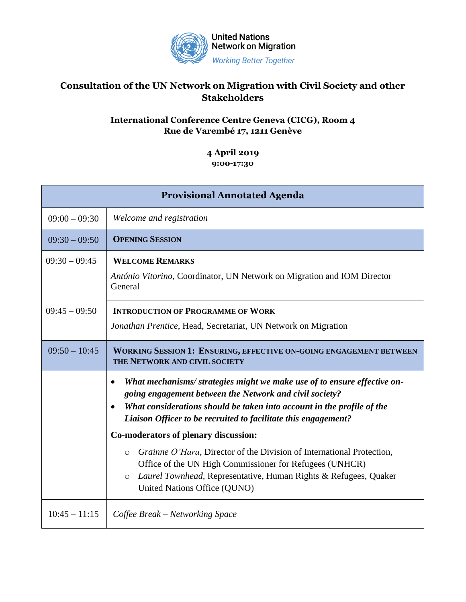

## **Consultation of the UN Network on Migration with Civil Society and other Stakeholders**

## **International Conference Centre Geneva (CICG), Room 4 Rue de Varembé 17, 1211 Genève**

## **4 April 2019 9:00-17:30**

| <b>Provisional Annotated Agenda</b> |                                                                                                                                                                                                                                                                                 |  |
|-------------------------------------|---------------------------------------------------------------------------------------------------------------------------------------------------------------------------------------------------------------------------------------------------------------------------------|--|
| $09:00 - 09:30$                     | Welcome and registration                                                                                                                                                                                                                                                        |  |
| $09:30 - 09:50$                     | <b>OPENING SESSION</b>                                                                                                                                                                                                                                                          |  |
| $09:30 - 09:45$                     | <b>WELCOME REMARKS</b><br>António Vitorino, Coordinator, UN Network on Migration and IOM Director<br>General                                                                                                                                                                    |  |
| $09:45 - 09:50$                     | <b>INTRODUCTION OF PROGRAMME OF WORK</b><br>Jonathan Prentice, Head, Secretariat, UN Network on Migration                                                                                                                                                                       |  |
| $09:50 - 10:45$                     | <b>WORKING SESSION 1: ENSURING, EFFECTIVE ON-GOING ENGAGEMENT BETWEEN</b><br>THE NETWORK AND CIVIL SOCIETY                                                                                                                                                                      |  |
|                                     | What mechanisms/ strategies might we make use of to ensure effective on-<br>going engagement between the Network and civil society?<br>What considerations should be taken into account in the profile of the<br>Liaison Officer to be recruited to facilitate this engagement? |  |
|                                     | Co-moderators of plenary discussion:                                                                                                                                                                                                                                            |  |
|                                     | Grainne O'Hara, Director of the Division of International Protection,<br>$\circ$<br>Office of the UN High Commissioner for Refugees (UNHCR)<br>Laurel Townhead, Representative, Human Rights & Refugees, Quaker<br>$\circ$<br>United Nations Office (QUNO)                      |  |
| $10:45 - 11:15$                     | Coffee Break – Networking Space                                                                                                                                                                                                                                                 |  |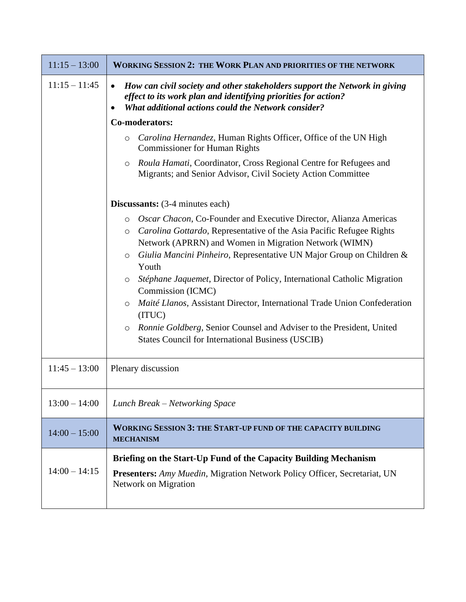| $11:15 - 13:00$ | <b>WORKING SESSION 2: THE WORK PLAN AND PRIORITIES OF THE NETWORK</b>                                                                                                                                                                                                                                                                                                                                                                                                                                                                                                                                                                                                            |
|-----------------|----------------------------------------------------------------------------------------------------------------------------------------------------------------------------------------------------------------------------------------------------------------------------------------------------------------------------------------------------------------------------------------------------------------------------------------------------------------------------------------------------------------------------------------------------------------------------------------------------------------------------------------------------------------------------------|
| $11:15 - 11:45$ | How can civil society and other stakeholders support the Network in giving<br>$\bullet$<br>effect to its work plan and identifying priorities for action?<br><b>What additional actions could the Network consider?</b>                                                                                                                                                                                                                                                                                                                                                                                                                                                          |
|                 | Co-moderators:                                                                                                                                                                                                                                                                                                                                                                                                                                                                                                                                                                                                                                                                   |
|                 | Carolina Hernandez, Human Rights Officer, Office of the UN High<br>$\circ$<br><b>Commissioner for Human Rights</b>                                                                                                                                                                                                                                                                                                                                                                                                                                                                                                                                                               |
|                 | Roula Hamati, Coordinator, Cross Regional Centre for Refugees and<br>$\circ$<br>Migrants; and Senior Advisor, Civil Society Action Committee                                                                                                                                                                                                                                                                                                                                                                                                                                                                                                                                     |
|                 | <b>Discussants:</b> (3-4 minutes each)                                                                                                                                                                                                                                                                                                                                                                                                                                                                                                                                                                                                                                           |
|                 | Oscar Chacon, Co-Founder and Executive Director, Alianza Americas<br>$\circ$<br>Carolina Gottardo, Representative of the Asia Pacific Refugee Rights<br>$\circ$<br>Network (APRRN) and Women in Migration Network (WIMN)<br>Giulia Mancini Pinheiro, Representative UN Major Group on Children &<br>$\circ$<br>Youth<br>Stéphane Jaquemet, Director of Policy, International Catholic Migration<br>$\circ$<br>Commission (ICMC)<br>Maité Llanos, Assistant Director, International Trade Union Confederation<br>$\circ$<br>(ITUC)<br>Ronnie Goldberg, Senior Counsel and Adviser to the President, United<br>$\circ$<br><b>States Council for International Business (USCIB)</b> |
| $11:45 - 13:00$ | Plenary discussion                                                                                                                                                                                                                                                                                                                                                                                                                                                                                                                                                                                                                                                               |
| $13:00 - 14:00$ | Lunch Break – Networking Space                                                                                                                                                                                                                                                                                                                                                                                                                                                                                                                                                                                                                                                   |
| $14:00 - 15:00$ | <b>WORKING SESSION 3: THE START-UP FUND OF THE CAPACITY BUILDING</b><br><b>MECHANISM</b>                                                                                                                                                                                                                                                                                                                                                                                                                                                                                                                                                                                         |
| $14:00 - 14:15$ | Briefing on the Start-Up Fund of the Capacity Building Mechanism<br><b>Presenters:</b> Amy Muedin, Migration Network Policy Officer, Secretariat, UN<br>Network on Migration                                                                                                                                                                                                                                                                                                                                                                                                                                                                                                     |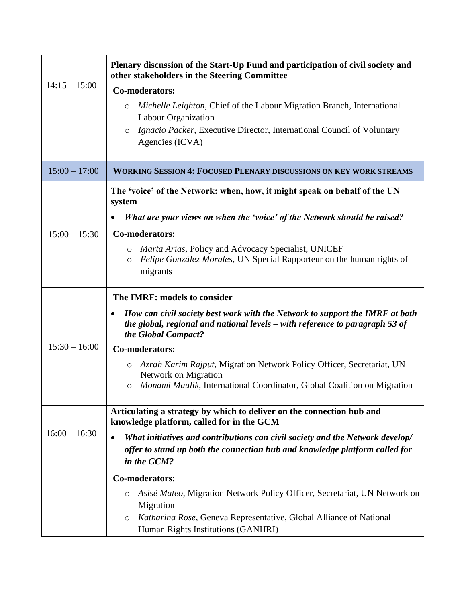|                 | Plenary discussion of the Start-Up Fund and participation of civil society and<br>other stakeholders in the Steering Committee                                                        |
|-----------------|---------------------------------------------------------------------------------------------------------------------------------------------------------------------------------------|
| $14:15 - 15:00$ | Co-moderators:                                                                                                                                                                        |
|                 | Michelle Leighton, Chief of the Labour Migration Branch, International<br>O<br>Labour Organization                                                                                    |
|                 | <i>Ignacio Packer</i> , Executive Director, International Council of Voluntary<br>O                                                                                                   |
|                 | Agencies (ICVA)                                                                                                                                                                       |
| $15:00 - 17:00$ | <b>WORKING SESSION 4: FOCUSED PLENARY DISCUSSIONS ON KEY WORK STREAMS</b>                                                                                                             |
|                 | The 'voice' of the Network: when, how, it might speak on behalf of the UN<br>system                                                                                                   |
|                 | What are your views on when the 'voice' of the Network should be raised?                                                                                                              |
| $15:00 - 15:30$ | Co-moderators:                                                                                                                                                                        |
|                 | <i>Marta Arias, Policy and Advocacy Specialist, UNICEF</i><br>O<br>Felipe González Morales, UN Special Rapporteur on the human rights of<br>$\circ$<br>migrants                       |
|                 | The IMRF: models to consider                                                                                                                                                          |
|                 | How can civil society best work with the Network to support the IMRF at both<br>the global, regional and national levels $-$ with reference to paragraph 53 of<br>the Global Compact? |
| $15:30 - 16:00$ | Co-moderators:                                                                                                                                                                        |
|                 | o Azrah Karim Rajput, Migration Network Policy Officer, Secretariat, UN<br><b>Network on Migration</b>                                                                                |
|                 | Monami Maulik, International Coordinator, Global Coalition on Migration<br>O                                                                                                          |
|                 | Articulating a strategy by which to deliver on the connection hub and<br>knowledge platform, called for in the GCM                                                                    |
| $16:00 - 16:30$ | What initiatives and contributions can civil society and the Network develop/<br>offer to stand up both the connection hub and knowledge platform called for<br>in the GCM?           |
|                 | Co-moderators:                                                                                                                                                                        |
|                 | Asisé Mateo, Migration Network Policy Officer, Secretariat, UN Network on<br>O<br>Migration                                                                                           |
|                 | Katharina Rose, Geneva Representative, Global Alliance of National<br>O<br>Human Rights Institutions (GANHRI)                                                                         |